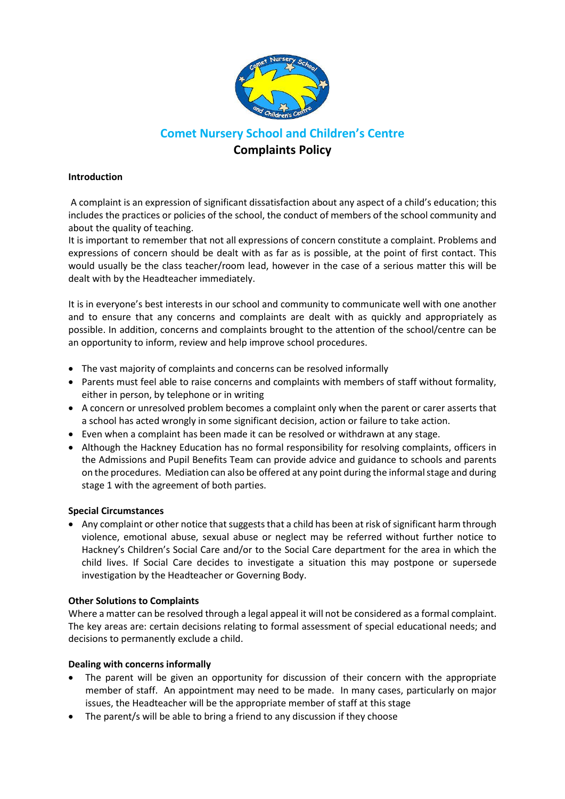

# **Comet Nursery School and Children's Centre Complaints Policy**

# **Introduction**

A complaint is an expression of significant dissatisfaction about any aspect of a child's education; this includes the practices or policies of the school, the conduct of members of the school community and about the quality of teaching.

It is important to remember that not all expressions of concern constitute a complaint. Problems and expressions of concern should be dealt with as far as is possible, at the point of first contact. This would usually be the class teacher/room lead, however in the case of a serious matter this will be dealt with by the Headteacher immediately.

It is in everyone's best interests in our school and community to communicate well with one another and to ensure that any concerns and complaints are dealt with as quickly and appropriately as possible. In addition, concerns and complaints brought to the attention of the school/centre can be an opportunity to inform, review and help improve school procedures.

- The vast majority of complaints and concerns can be resolved informally
- Parents must feel able to raise concerns and complaints with members of staff without formality, either in person, by telephone or in writing
- A concern or unresolved problem becomes a complaint only when the parent or carer asserts that a school has acted wrongly in some significant decision, action or failure to take action.
- Even when a complaint has been made it can be resolved or withdrawn at any stage.
- Although the Hackney Education has no formal responsibility for resolving complaints, officers in the Admissions and Pupil Benefits Team can provide advice and guidance to schools and parents on the procedures. Mediation can also be offered at any point during the informal stage and during stage 1 with the agreement of both parties.

## **Special Circumstances**

 Any complaint or other notice that suggests that a child has been at risk of significant harm through violence, emotional abuse, sexual abuse or neglect may be referred without further notice to Hackney's Children's Social Care and/or to the Social Care department for the area in which the child lives. If Social Care decides to investigate a situation this may postpone or supersede investigation by the Headteacher or Governing Body.

## **Other Solutions to Complaints**

Where a matter can be resolved through a legal appeal it will not be considered as a formal complaint. The key areas are: certain decisions relating to formal assessment of special educational needs; and decisions to permanently exclude a child.

## **Dealing with concerns informally**

- The parent will be given an opportunity for discussion of their concern with the appropriate member of staff. An appointment may need to be made. In many cases, particularly on major issues, the Headteacher will be the appropriate member of staff at this stage
- The parent/s will be able to bring a friend to any discussion if they choose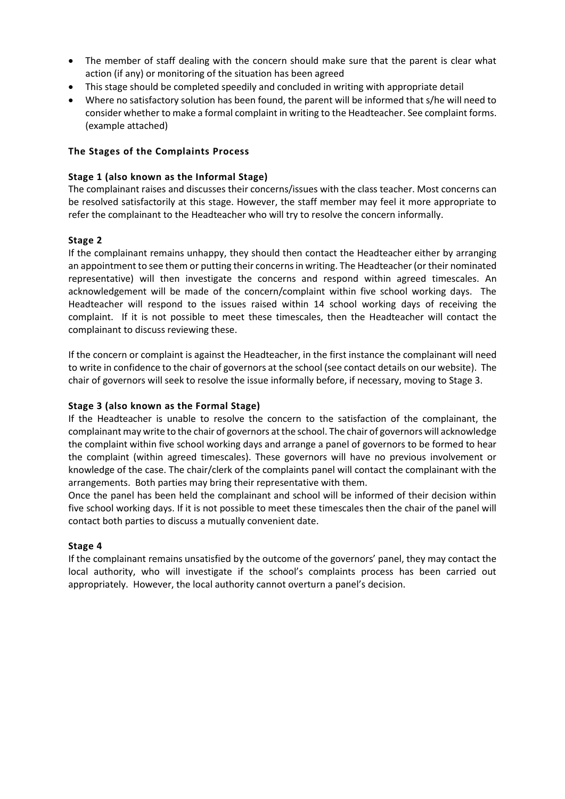- The member of staff dealing with the concern should make sure that the parent is clear what action (if any) or monitoring of the situation has been agreed
- This stage should be completed speedily and concluded in writing with appropriate detail
- Where no satisfactory solution has been found, the parent will be informed that s/he will need to consider whether to make a formal complaint in writing to the Headteacher. See complaint forms. (example attached)

## **The Stages of the Complaints Process**

## **Stage 1 (also known as the Informal Stage)**

The complainant raises and discusses their concerns/issues with the class teacher. Most concerns can be resolved satisfactorily at this stage. However, the staff member may feel it more appropriate to refer the complainant to the Headteacher who will try to resolve the concern informally.

# **Stage 2**

If the complainant remains unhappy, they should then contact the Headteacher either by arranging an appointment to see them or putting their concerns in writing. The Headteacher (or their nominated representative) will then investigate the concerns and respond within agreed timescales. An acknowledgement will be made of the concern/complaint within five school working days. The Headteacher will respond to the issues raised within 14 school working days of receiving the complaint. If it is not possible to meet these timescales, then the Headteacher will contact the complainant to discuss reviewing these.

If the concern or complaint is against the Headteacher, in the first instance the complainant will need to write in confidence to the chair of governors at the school (see contact details on our website). The chair of governors will seek to resolve the issue informally before, if necessary, moving to Stage 3.

## **Stage 3 (also known as the Formal Stage)**

If the Headteacher is unable to resolve the concern to the satisfaction of the complainant, the complainant may write to the chair of governors at the school. The chair of governors will acknowledge the complaint within five school working days and arrange a panel of governors to be formed to hear the complaint (within agreed timescales). These governors will have no previous involvement or knowledge of the case. The chair/clerk of the complaints panel will contact the complainant with the arrangements. Both parties may bring their representative with them.

Once the panel has been held the complainant and school will be informed of their decision within five school working days. If it is not possible to meet these timescales then the chair of the panel will contact both parties to discuss a mutually convenient date.

## **Stage 4**

If the complainant remains unsatisfied by the outcome of the governors' panel, they may contact the local authority, who will investigate if the school's complaints process has been carried out appropriately. However, the local authority cannot overturn a panel's decision.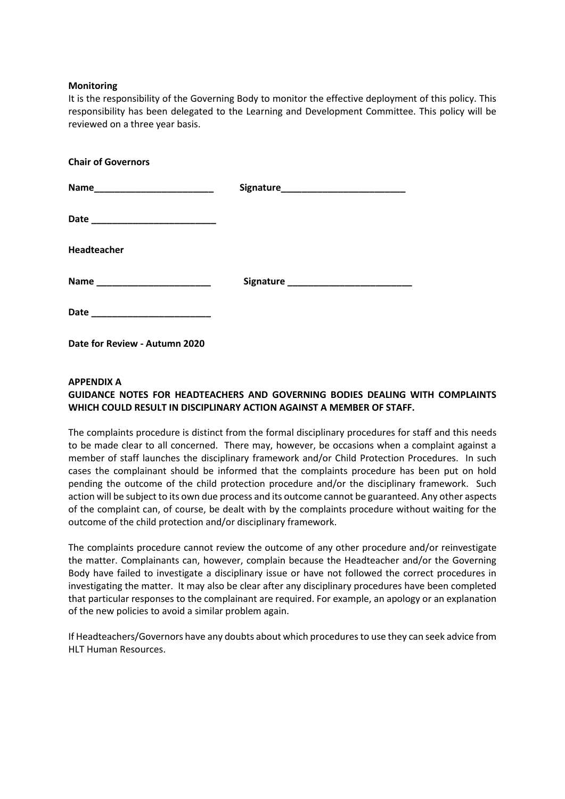#### **Monitoring**

It is the responsibility of the Governing Body to monitor the effective deployment of this policy. This responsibility has been delegated to the Learning and Development Committee. This policy will be reviewed on a three year basis.

| <b>Chair of Governors</b> |  |
|---------------------------|--|
|                           |  |
|                           |  |
| <b>Headteacher</b>        |  |
|                           |  |
|                           |  |

**Date for Review - Autumn 2020**

#### **APPENDIX A**

# **GUIDANCE NOTES FOR HEADTEACHERS AND GOVERNING BODIES DEALING WITH COMPLAINTS WHICH COULD RESULT IN DISCIPLINARY ACTION AGAINST A MEMBER OF STAFF.**

The complaints procedure is distinct from the formal disciplinary procedures for staff and this needs to be made clear to all concerned. There may, however, be occasions when a complaint against a member of staff launches the disciplinary framework and/or Child Protection Procedures. In such cases the complainant should be informed that the complaints procedure has been put on hold pending the outcome of the child protection procedure and/or the disciplinary framework. Such action will be subject to its own due process and its outcome cannot be guaranteed. Any other aspects of the complaint can, of course, be dealt with by the complaints procedure without waiting for the outcome of the child protection and/or disciplinary framework.

The complaints procedure cannot review the outcome of any other procedure and/or reinvestigate the matter. Complainants can, however, complain because the Headteacher and/or the Governing Body have failed to investigate a disciplinary issue or have not followed the correct procedures in investigating the matter. It may also be clear after any disciplinary procedures have been completed that particular responses to the complainant are required. For example, an apology or an explanation of the new policies to avoid a similar problem again.

If Headteachers/Governors have any doubts about which procedures to use they can seek advice from HLT Human Resources.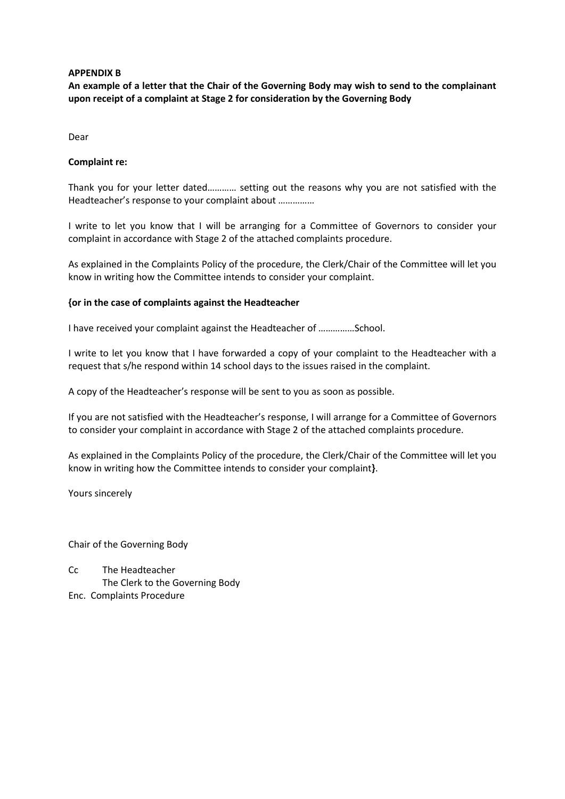#### **APPENDIX B**

**An example of a letter that the Chair of the Governing Body may wish to send to the complainant upon receipt of a complaint at Stage 2 for consideration by the Governing Body** 

Dear

#### **Complaint re:**

Thank you for your letter dated………… setting out the reasons why you are not satisfied with the Headteacher's response to your complaint about ……………

I write to let you know that I will be arranging for a Committee of Governors to consider your complaint in accordance with Stage 2 of the attached complaints procedure.

As explained in the Complaints Policy of the procedure, the Clerk/Chair of the Committee will let you know in writing how the Committee intends to consider your complaint.

#### **{or in the case of complaints against the Headteacher**

I have received your complaint against the Headteacher of ……………School.

I write to let you know that I have forwarded a copy of your complaint to the Headteacher with a request that s/he respond within 14 school days to the issues raised in the complaint.

A copy of the Headteacher's response will be sent to you as soon as possible.

If you are not satisfied with the Headteacher's response, I will arrange for a Committee of Governors to consider your complaint in accordance with Stage 2 of the attached complaints procedure.

As explained in the Complaints Policy of the procedure, the Clerk/Chair of the Committee will let you know in writing how the Committee intends to consider your complaint**}**.

Yours sincerely

Chair of the Governing Body

Cc The Headteacher The Clerk to the Governing Body Enc. Complaints Procedure